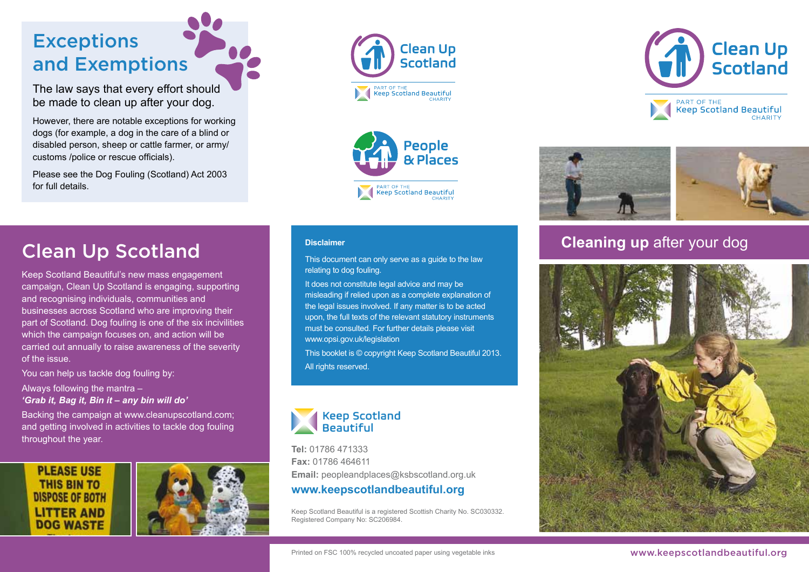# **Exceptions** and Exemptions

The law says that every effort should be made to clean up after your dog.

However, there are notable exceptions for working dogs (for example, a dog in the care of a blind or disabled person, sheep or cattle farmer, or army/ customs /police or rescue officials).

Please see the Dog Fouling (Scotland) Act 2003 for full details.











# **Clean Up Scotland Cleaning up after your dog Disclaimer Cleaning up after your dog**

Keep Scotland Beautiful's new mass engagement campaign, Clean Up Scotland is engaging, supporting and recognising individuals, communities and businesses across Scotland who are improving their part of Scotland. Dog fouling is one of the six incivilities which the campaign focuses on, and action will be carried out annually to raise awareness of the severity of the issue.

You can help us tackle dog fouling by:

Always following the mantra – *'Grab it, Bag it, Bin it – any bin will do'*

Backing the campaign at www.cleanupscotland.com; and getting involved in activities to tackle dog fouling throughout the year.

#### **PLEASE USE THIS BIN TO DISPOSE OF BOTH LITTER AND DOG WASTE**



#### **Disclaimer**

This document can only serve as a guide to the law relating to dog fouling.

It does not constitute legal advice and may be misleading if relied upon as a complete explanation of the legal issues involved. If any matter is to be acted upon, the full texts of the relevant statutory instruments must be consulted. For further details please visit www.opsi.gov.uk/legislation

This booklet is © copyright Keep Scotland Beautiful 2013. All rights reserved.



**Tel:** 01786 471333 **Fax:** 01786 464611

**Email:** peopleandplaces@ksbscotland.org.uk **www.keepscotlandbeautiful.org**

Keep Scotland Beautiful is a registered Scottish Charity No. SC030332. Registered Company No: SC206984.